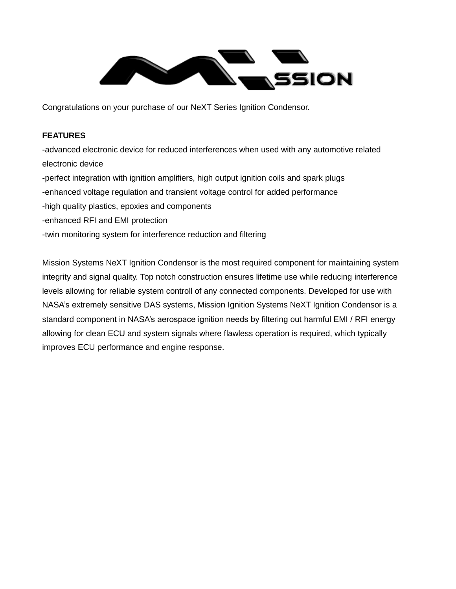

Congratulations on your purchase of our NeXT Series Ignition Condensor.

## **FEATURES**

-advanced electronic device for reduced interferences when used with any automotive related electronic device -perfect integration with ignition amplifiers, high output ignition coils and spark plugs -enhanced voltage regulation and transient voltage control for added performance -high quality plastics, epoxies and components -enhanced RFI and EMI protection -twin monitoring system for interference reduction and filtering

Mission Systems NeXT Ignition Condensor is the most required component for maintaining system integrity and signal quality. Top notch construction ensures lifetime use while reducing interference levels allowing for reliable system controll of any connected components. Developed for use with NASA's extremely sensitive DAS systems, Mission Ignition Systems NeXT Ignition Condensor is a standard component in NASA's aerospace ignition needs by filtering out harmful EMI / RFI energy allowing for clean ECU and system signals where flawless operation is required, which typically improves ECU performance and engine response.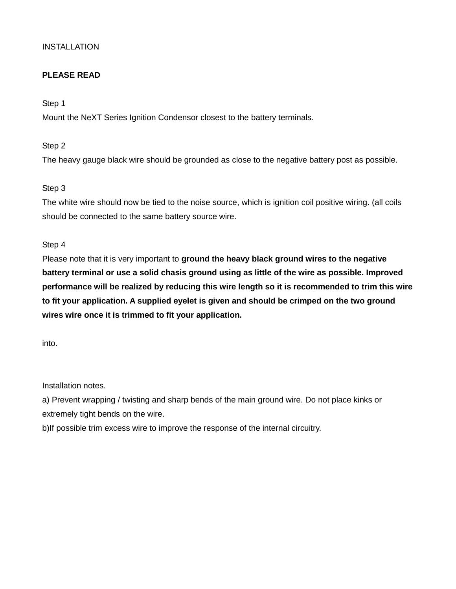## **INSTALLATION**

# **PLEASE READ**

Step 1

Mount the NeXT Series Ignition Condensor closest to the battery terminals.

Step 2

The heavy gauge black wire should be grounded as close to the negative battery post as possible.

Step 3

The white wire should now be tied to the noise source, which is ignition coil positive wiring. (all coils should be connected to the same battery source wire.

Step 4

Please note that it is very important to **ground the heavy black ground wires to the negative battery terminal or use a solid chasis ground using as little of the wire as possible. Improved performance will be realized by reducing this wire length so it is recommended to trim this wire to fit your application. A supplied eyelet is given and should be crimped on the two ground wires wire once it is trimmed to fit your application.**

into.

Installation notes.

a) Prevent wrapping / twisting and sharp bends of the main ground wire. Do not place kinks or extremely tight bends on the wire.

b)If possible trim excess wire to improve the response of the internal circuitry.